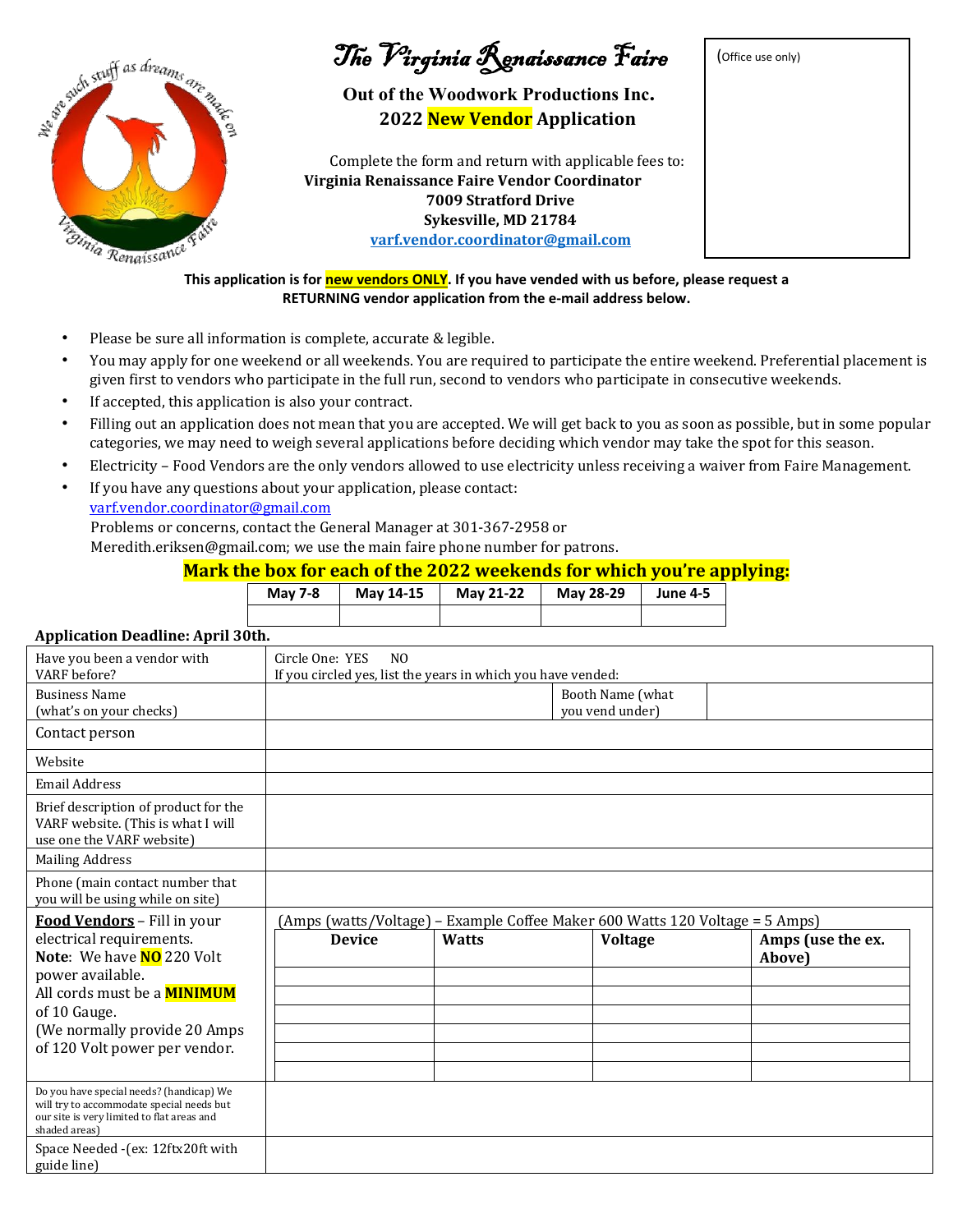

- Please be sure all information is complete, accurate & legible.
- You may apply for one weekend or all weekends. You are required to participate the entire weekend. Preferential placement is given first to vendors who participate in the full run, second to vendors who participate in consecutive weekends.
- If accepted, this application is also your contract.
- Filling out an application does not mean that you are accepted. We will get back to you as soon as possible, but in some popular categories, we may need to weigh several applications before deciding which vendor may take the spot for this season.
- Electricity Food Vendors are the only vendors allowed to use electricity unless receiving a waiver from Faire Management.
- If you have any questions about your application, please contact: varf.vendor.coordinator@gmail.com

Problems or concerns, contact the General Manager at 301-367-2958 or

Meredith.eriksen@gmail.com; we use the main faire phone number for patrons.

# **Mark the box for each of the 2022 weekends for which you're applying:**

| <b>May 7-8</b> | May 14-15 | May 21-22 | May 28-29 | <b>June 4-5</b> |
|----------------|-----------|-----------|-----------|-----------------|
|                |           |           |           |                 |

## **Application Deadline: April 30th.**

| Have you been a vendor with<br>VARF before?                                                                                                                                                                                     | Circle One: YES<br>N <sub>0</sub><br>If you circled yes, list the years in which you have vended: |              |                                                                                                |                             |
|---------------------------------------------------------------------------------------------------------------------------------------------------------------------------------------------------------------------------------|---------------------------------------------------------------------------------------------------|--------------|------------------------------------------------------------------------------------------------|-----------------------------|
| <b>Business Name</b><br>(what's on your checks)                                                                                                                                                                                 |                                                                                                   |              | Booth Name (what<br>you vend under)                                                            |                             |
| Contact person                                                                                                                                                                                                                  |                                                                                                   |              |                                                                                                |                             |
| Website                                                                                                                                                                                                                         |                                                                                                   |              |                                                                                                |                             |
| <b>Email Address</b>                                                                                                                                                                                                            |                                                                                                   |              |                                                                                                |                             |
| Brief description of product for the<br>VARF website. (This is what I will<br>use one the VARF website)                                                                                                                         |                                                                                                   |              |                                                                                                |                             |
| <b>Mailing Address</b>                                                                                                                                                                                                          |                                                                                                   |              |                                                                                                |                             |
| Phone (main contact number that<br>you will be using while on site)                                                                                                                                                             |                                                                                                   |              |                                                                                                |                             |
| Food Vendors - Fill in your<br>electrical requirements.<br>Note: We have NO 220 Volt<br>power available.<br>All cords must be a <b>MINIMUM</b><br>of 10 Gauge.<br>(We normally provide 20 Amps<br>of 120 Volt power per vendor. | <b>Device</b>                                                                                     | <b>Watts</b> | (Amps (watts/Voltage) – Example Coffee Maker 600 Watts 120 Voltage = 5 Amps)<br><b>Voltage</b> | Amps (use the ex.<br>Above) |
| Do you have special needs? (handicap) We<br>will try to accommodate special needs but<br>our site is very limited to flat areas and<br>shaded areas)                                                                            |                                                                                                   |              |                                                                                                |                             |
| Space Needed -(ex: 12ftx20ft with<br>guide line)                                                                                                                                                                                |                                                                                                   |              |                                                                                                |                             |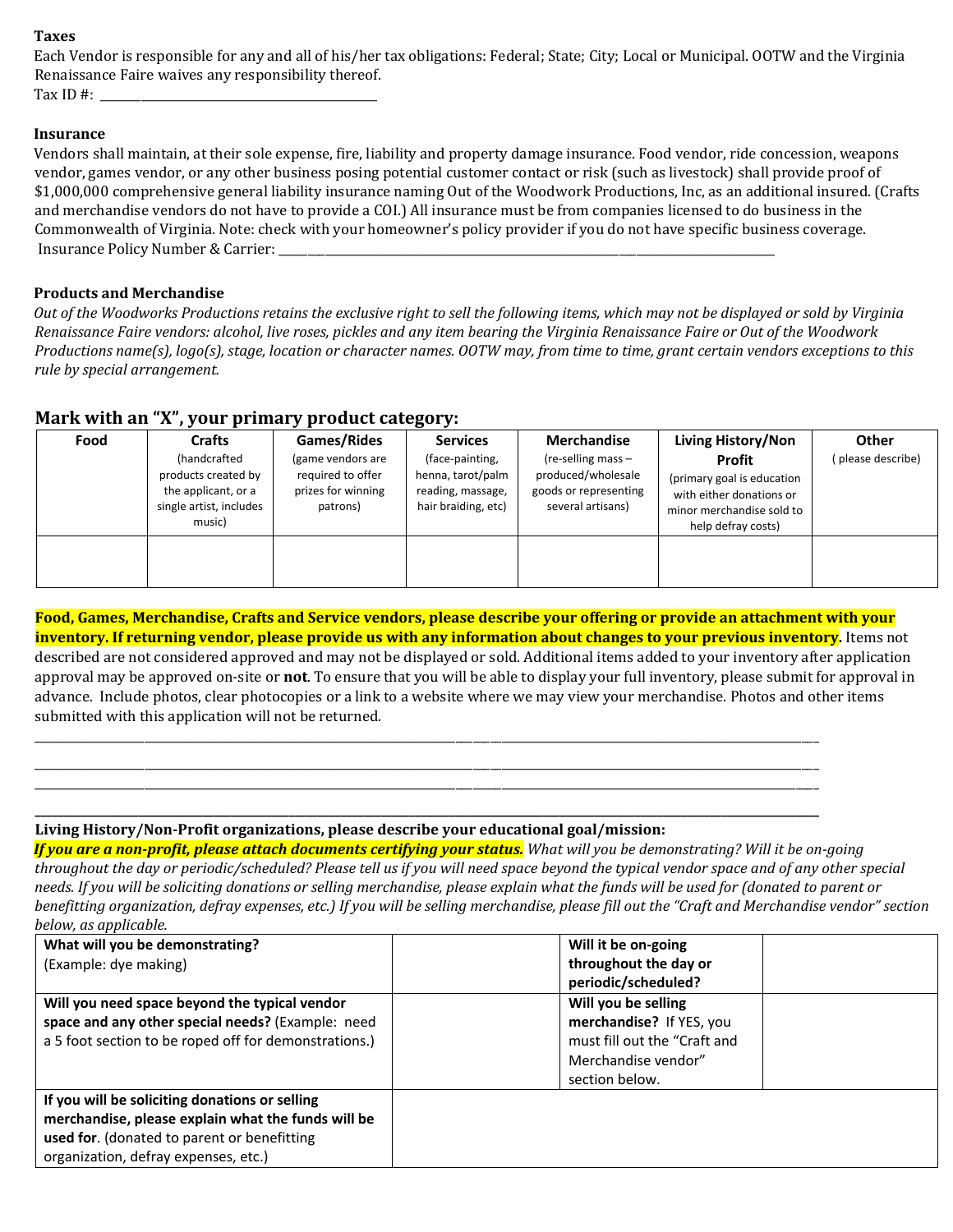#### **Taxes**

Each Vendor is responsible for any and all of his/her tax obligations: Federal; State; City; Local or Municipal. OOTW and the Virginia Renaissance Faire waives any responsibility thereof. Tax ID  $\#$ :

#### **Insurance**

Vendors shall maintain, at their sole expense, fire, liability and property damage insurance. Food vendor, ride concession, weapons vendor, games vendor, or any other business posing potential customer contact or risk (such as livestock) shall provide proof of \$1,000,000 comprehensive general liability insurance naming Out of the Woodwork Productions, Inc, as an additional insured. (Crafts and merchandise vendors do not have to provide a COI.) All insurance must be from companies licensed to do business in the Commonwealth of Virginia. Note: check with your homeowner's policy provider if you do not have specific business coverage. Insurance Policy Number & Carrier: \_\_\_\_\_\_\_\_\_\_\_\_\_\_\_\_\_\_\_\_\_\_\_\_\_\_\_\_\_\_\_\_\_\_\_\_\_\_\_\_\_\_\_\_\_\_\_\_\_\_\_\_\_\_\_\_\_\_\_\_\_\_\_\_\_\_\_\_\_\_\_\_\_\_\_\_\_\_\_\_\_\_\_\_\_\_

### **Products and Merchandise**

*Out of the Woodworks Productions retains the exclusive right to sell the following items, which may not be displayed or sold by Virginia Renaissance Faire vendors: alcohol, live roses, pickles and any item bearing the Virginia Renaissance Faire or Out of the Woodwork Productions name(s), logo(s), stage, location or character names. OOTW may, from time to time, grant certain vendors exceptions to this rule by special arrangement.* 

## **Mark with an "X", your primary product category:**

| Food | <b>Crafts</b>                                                                                   | Games/Rides                                                              | <b>Services</b>                                                                  | <b>Merchandise</b>                                                                     | Living History/Non                                                                                                  | <b>Other</b>      |
|------|-------------------------------------------------------------------------------------------------|--------------------------------------------------------------------------|----------------------------------------------------------------------------------|----------------------------------------------------------------------------------------|---------------------------------------------------------------------------------------------------------------------|-------------------|
|      | (handcrafted<br>products created by<br>the applicant, or a<br>single artist, includes<br>music) | (game vendors are<br>required to offer<br>prizes for winning<br>patrons) | (face-painting,<br>henna, tarot/palm<br>reading, massage,<br>hair braiding, etc) | (re-selling mass -<br>produced/wholesale<br>goods or representing<br>several artisans) | Profit<br>(primary goal is education<br>with either donations or<br>minor merchandise sold to<br>help defray costs) | (please describe) |
|      |                                                                                                 |                                                                          |                                                                                  |                                                                                        |                                                                                                                     |                   |

**Food, Games, Merchandise, Crafts and Service vendors, please describe your offering or provide an attachment with your inventory. If returning vendor, please provide us with any information about changes to your previous inventory.** Items not described are not considered approved and may not be displayed or sold. Additional items added to your inventory after application approval may be approved on-site or **not**. To ensure that you will be able to display your full inventory, please submit for approval in advance. Include photos, clear photocopies or a link to a website where we may view your merchandise. Photos and other items submitted with this application will not be returned.

\_\_\_\_\_\_\_\_\_\_\_\_\_\_\_\_\_\_\_\_\_\_\_\_\_\_\_\_\_\_\_\_\_\_\_\_\_\_\_\_\_\_\_\_\_\_\_\_\_\_\_\_\_\_\_\_\_\_\_\_\_\_\_\_\_\_\_\_\_\_\_\_\_\_\_\_\_\_\_\_\_\_\_\_\_\_\_\_\_\_\_\_\_\_\_\_\_\_\_\_\_\_\_\_\_\_\_\_\_\_\_\_\_\_\_\_\_\_\_\_\_\_\_\_\_\_\_\_\_\_\_\_\_\_\_\_ \_\_\_\_\_\_\_\_\_\_\_\_\_\_\_\_\_\_\_\_\_\_\_\_\_\_\_\_\_\_\_\_\_\_\_\_\_\_\_\_\_\_\_\_\_\_\_\_\_\_\_\_\_\_\_\_\_\_\_\_\_\_\_\_\_\_\_\_\_\_\_\_\_\_\_\_\_\_\_\_\_\_\_\_\_\_\_\_\_\_\_\_\_\_\_\_\_\_\_\_\_\_\_\_\_\_\_\_\_\_\_\_\_\_\_\_\_\_\_\_\_\_\_\_\_\_\_\_\_\_\_\_\_\_\_\_ \_\_\_\_\_\_\_\_\_\_\_\_\_\_\_\_\_\_\_\_\_\_\_\_\_\_\_\_\_\_\_\_\_\_\_\_\_\_\_\_\_\_\_\_\_\_\_\_\_\_\_\_\_\_\_\_\_\_\_\_\_\_\_\_\_\_\_\_\_\_\_\_\_\_\_\_\_\_\_\_\_\_\_\_\_\_\_\_\_\_\_\_\_\_\_\_\_\_\_\_\_\_\_\_\_\_\_\_\_\_\_\_\_\_\_\_\_\_\_\_\_\_\_\_\_\_\_\_\_\_\_\_\_\_\_\_ **\_\_\_\_\_\_\_\_\_\_\_\_\_\_\_\_\_\_\_\_\_\_\_\_\_\_\_\_\_\_\_\_\_\_\_\_\_\_\_\_\_\_\_\_\_\_\_\_\_\_\_\_\_\_\_\_\_\_\_\_\_\_\_\_\_\_\_\_\_\_\_\_\_\_\_\_\_\_\_\_\_\_\_\_\_\_\_\_\_\_\_\_\_\_\_\_\_\_\_\_\_\_\_\_\_\_\_\_\_\_\_\_\_\_\_\_\_\_\_\_\_\_\_\_\_\_\_\_\_\_\_\_\_\_\_\_**

### **Living History/Non-Profit organizations, please describe your educational goal/mission:**

*If you are a non-profit, please attach documents certifying your status. What will you be demonstrating? Will it be on-going throughout the day or periodic/scheduled? Please tell us if you will need space beyond the typical vendor space and of any other special needs. If you will be soliciting donations or selling merchandise, please explain what the funds will be used for (donated to parent or benefitting organization, defray expenses, etc.) If you will be selling merchandise, please fill out the "Craft and Merchandise vendor" section below, as applicable.* 

| What will you be demonstrating?                       | Will it be on-going          |  |
|-------------------------------------------------------|------------------------------|--|
| (Example: dye making)                                 | throughout the day or        |  |
|                                                       | periodic/scheduled?          |  |
| Will you need space beyond the typical vendor         | Will you be selling          |  |
| space and any other special needs? (Example: need     | merchandise? If YES, you     |  |
| a 5 foot section to be roped off for demonstrations.) | must fill out the "Craft and |  |
|                                                       | Merchandise vendor"          |  |
|                                                       | section below.               |  |
| If you will be soliciting donations or selling        |                              |  |
| merchandise, please explain what the funds will be    |                              |  |
| used for. (donated to parent or benefitting           |                              |  |
| organization, defray expenses, etc.)                  |                              |  |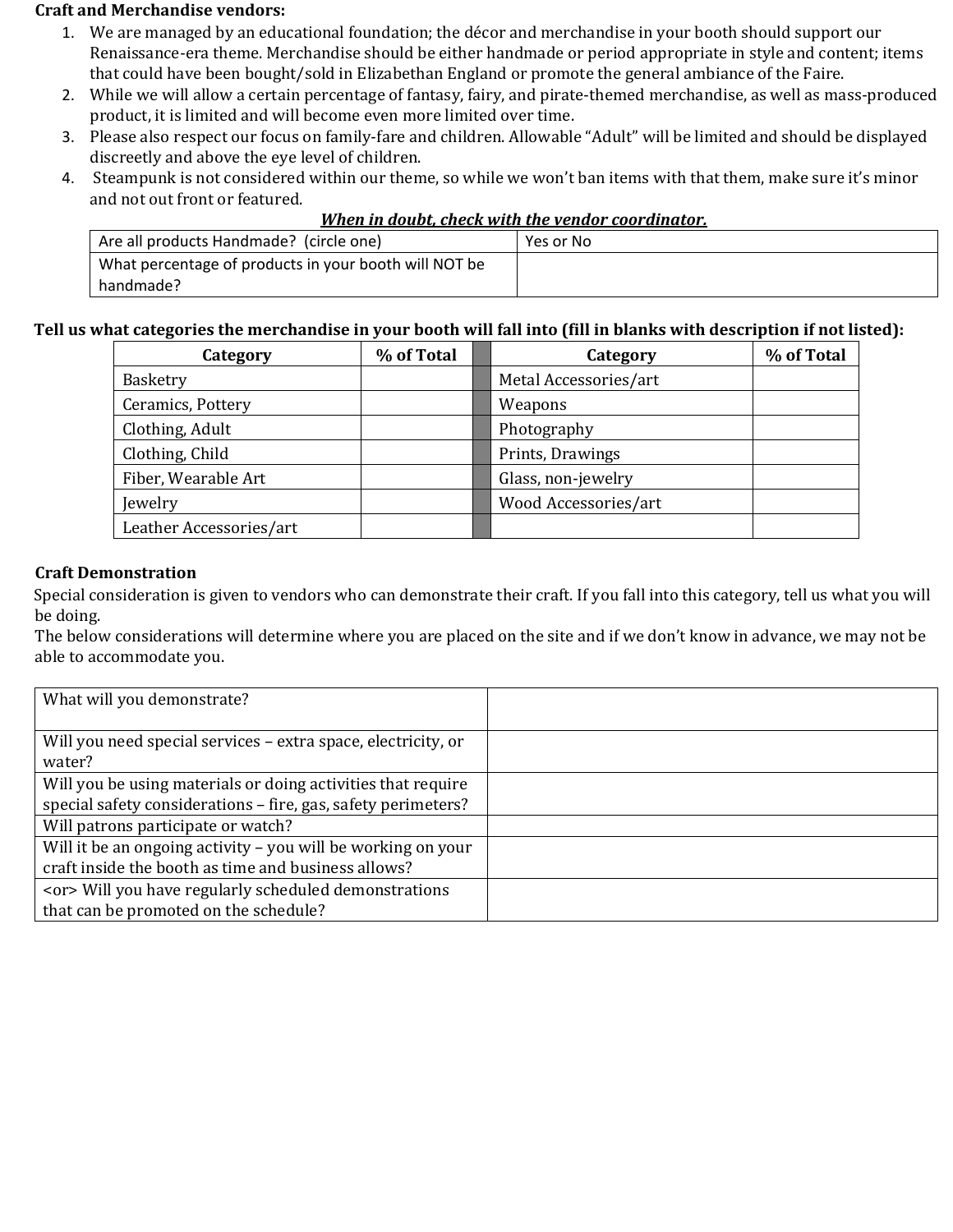### **Craft and Merchandise vendors:**

- 1. We are managed by an educational foundation; the décor and merchandise in your booth should support our Renaissance-era theme. Merchandise should be either handmade or period appropriate in style and content; items that could have been bought/sold in Elizabethan England or promote the general ambiance of the Faire.
- 2. While we will allow a certain percentage of fantasy, fairy, and pirate-themed merchandise, as well as mass-produced product, it is limited and will become even more limited over time.
- 3. Please also respect our focus on family-fare and children. Allowable "Adult" will be limited and should be displayed discreetly and above the eye level of children.
- 4. Steampunk is not considered within our theme, so while we won't ban items with that them, make sure it's minor and not out front or featured. *When in doubt, check with the vendor coordinator.*

| When in doubt, check with the vendor coordinator. |           |
|---------------------------------------------------|-----------|
| andmade? (circle one)                             | Yes or No |

| Are all products Handmade? (circle one)               | Yes or No |
|-------------------------------------------------------|-----------|
| What percentage of products in your booth will NOT be |           |
| handmade?                                             |           |

## **Tell us what categories the merchandise in your booth will fall into (fill in blanks with description if not listed):**

| Category                | % of Total | Category              | % of Total |
|-------------------------|------------|-----------------------|------------|
| Basketry                |            | Metal Accessories/art |            |
| Ceramics, Pottery       |            | Weapons               |            |
| Clothing, Adult         |            | Photography           |            |
| Clothing, Child         |            | Prints, Drawings      |            |
| Fiber, Wearable Art     |            | Glass, non-jewelry    |            |
| Jewelry                 |            | Wood Accessories/art  |            |
| Leather Accessories/art |            |                       |            |

## **Craft Demonstration**

Special consideration is given to vendors who can demonstrate their craft. If you fall into this category, tell us what you will be doing.

The below considerations will determine where you are placed on the site and if we don't know in advance, we may not be able to accommodate you.

| What will you demonstrate?                                    |  |
|---------------------------------------------------------------|--|
|                                                               |  |
| Will you need special services - extra space, electricity, or |  |
| water?                                                        |  |
| Will you be using materials or doing activities that require  |  |
| special safety considerations - fire, gas, safety perimeters? |  |
| Will patrons participate or watch?                            |  |
| Will it be an ongoing activity - you will be working on your  |  |
| craft inside the booth as time and business allows?           |  |
| <or> Will you have regularly scheduled demonstrations</or>    |  |
| that can be promoted on the schedule?                         |  |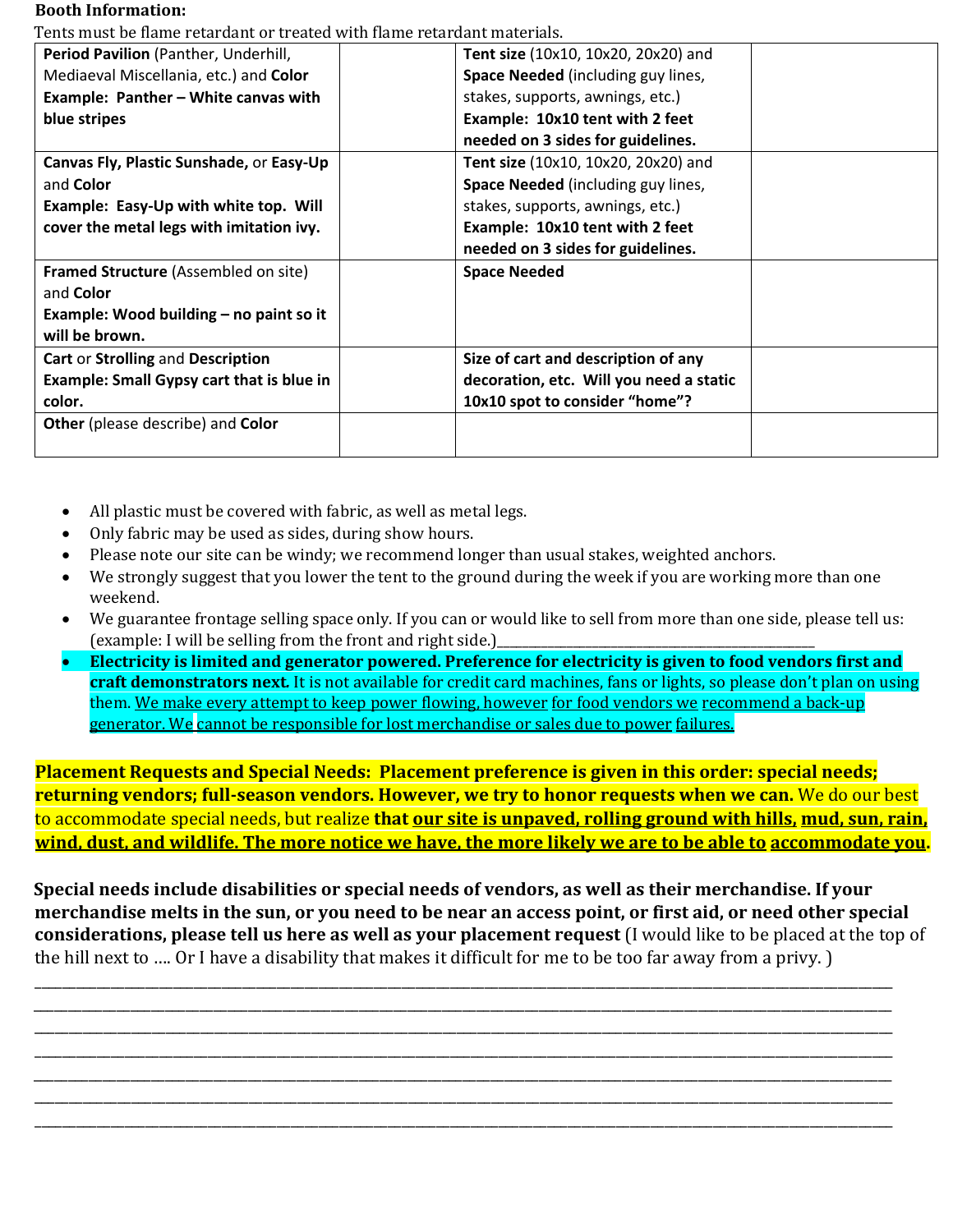#### **Booth Information:**

Tents must be flame retardant or treated with flame retardant materials.

| i chts must be name Fetal uant of treated with name Fetal uailt materials |                                         |  |
|---------------------------------------------------------------------------|-----------------------------------------|--|
| Period Pavilion (Panther, Underhill,                                      | Tent size (10x10, 10x20, 20x20) and     |  |
| Mediaeval Miscellania, etc.) and Color                                    | Space Needed (including guy lines,      |  |
| Example: Panther - White canvas with                                      | stakes, supports, awnings, etc.)        |  |
| blue stripes                                                              | Example: 10x10 tent with 2 feet         |  |
|                                                                           | needed on 3 sides for guidelines.       |  |
| Canvas Fly, Plastic Sunshade, or Easy-Up                                  | Tent size (10x10, 10x20, 20x20) and     |  |
| and Color                                                                 | Space Needed (including guy lines,      |  |
| Example: Easy-Up with white top. Will                                     | stakes, supports, awnings, etc.)        |  |
| cover the metal legs with imitation ivy.                                  | Example: 10x10 tent with 2 feet         |  |
|                                                                           | needed on 3 sides for guidelines.       |  |
| Framed Structure (Assembled on site)                                      | <b>Space Needed</b>                     |  |
| and <b>Color</b>                                                          |                                         |  |
| Example: Wood building – no paint so it                                   |                                         |  |
| will be brown.                                                            |                                         |  |
| Cart or Strolling and Description                                         | Size of cart and description of any     |  |
| <b>Example: Small Gypsy cart that is blue in</b>                          | decoration, etc. Will you need a static |  |
| color.                                                                    | 10x10 spot to consider "home"?          |  |
| <b>Other</b> (please describe) and <b>Color</b>                           |                                         |  |
|                                                                           |                                         |  |
|                                                                           |                                         |  |

- All plastic must be covered with fabric, as well as metal legs.
- Only fabric may be used as sides, during show hours.
- Please note our site can be windy; we recommend longer than usual stakes, weighted anchors.
- We strongly suggest that you lower the tent to the ground during the week if you are working more than one weekend.
- We guarantee frontage selling space only. If you can or would like to sell from more than one side, please tell us: (example: I will be selling from the front and right side.)\_\_\_\_\_\_\_\_\_\_\_\_\_\_\_\_\_\_\_\_\_
- **Electricity is limited and generator powered. Preference for electricity is given to food vendors first and craft demonstrators next***.* It is not available for credit card machines, fans or lights, so please don't plan on using them. We make every attempt to keep power flowing, however for food vendors we recommend a back-up generator. We cannot be responsible for lost merchandise or sales due to power failures.

**Placement Requests and Special Needs: Placement preference is given in this order: special needs; returning vendors; full-season vendors. However, we try to honor requests when we can.** We do our best to accommodate special needs, but realize **that our site is unpaved, rolling ground with hills, mud, sun, rain, wind, dust, and wildlife. The more notice we have, the more likely we are to be able to accommodate you.**

**Special needs include disabilities or special needs of vendors, as well as their merchandise. If your merchandise melts in the sun, or you need to be near an access point, or first aid, or need other special considerations, please tell us here as well as your placement request** (I would like to be placed at the top of the hill next to …. Or I have a disability that makes it difficult for me to be too far away from a privy. )

\_\_\_\_\_\_\_\_\_\_\_\_\_\_\_\_\_\_\_\_\_\_\_\_\_\_\_\_\_\_\_\_\_\_\_\_\_\_\_\_\_\_\_\_\_\_\_\_\_\_\_\_\_\_\_\_\_\_\_\_\_\_\_\_\_\_\_\_\_\_\_\_\_\_\_\_\_\_\_\_\_\_\_\_\_\_\_\_\_\_\_\_\_\_\_\_\_\_\_\_\_\_\_\_\_\_\_\_\_\_\_\_\_\_\_\_\_\_\_\_\_\_\_\_ \_\_\_\_\_\_\_\_\_\_\_\_\_\_\_\_\_\_\_\_\_\_\_\_\_\_\_\_\_\_\_\_\_\_\_\_\_\_\_\_\_\_\_\_\_\_\_\_\_\_\_\_\_\_\_\_\_\_\_\_\_\_\_\_\_\_\_\_\_\_\_\_\_\_\_\_\_\_\_\_\_\_\_\_\_\_\_\_\_\_\_\_\_\_\_\_\_\_\_\_\_\_\_\_\_\_\_\_\_\_\_\_\_\_\_\_\_\_\_\_\_\_\_\_ \_\_\_\_\_\_\_\_\_\_\_\_\_\_\_\_\_\_\_\_\_\_\_\_\_\_\_\_\_\_\_\_\_\_\_\_\_\_\_\_\_\_\_\_\_\_\_\_\_\_\_\_\_\_\_\_\_\_\_\_\_\_\_\_\_\_\_\_\_\_\_\_\_\_\_\_\_\_\_\_\_\_\_\_\_\_\_\_\_\_\_\_\_\_\_\_\_\_\_\_\_\_\_\_\_\_\_\_\_\_\_\_\_\_\_\_\_\_\_\_\_\_\_\_ \_\_\_\_\_\_\_\_\_\_\_\_\_\_\_\_\_\_\_\_\_\_\_\_\_\_\_\_\_\_\_\_\_\_\_\_\_\_\_\_\_\_\_\_\_\_\_\_\_\_\_\_\_\_\_\_\_\_\_\_\_\_\_\_\_\_\_\_\_\_\_\_\_\_\_\_\_\_\_\_\_\_\_\_\_\_\_\_\_\_\_\_\_\_\_\_\_\_\_\_\_\_\_\_\_\_\_\_\_\_\_\_\_\_\_\_\_\_\_\_\_\_\_\_ \_\_\_\_\_\_\_\_\_\_\_\_\_\_\_\_\_\_\_\_\_\_\_\_\_\_\_\_\_\_\_\_\_\_\_\_\_\_\_\_\_\_\_\_\_\_\_\_\_\_\_\_\_\_\_\_\_\_\_\_\_\_\_\_\_\_\_\_\_\_\_\_\_\_\_\_\_\_\_\_\_\_\_\_\_\_\_\_\_\_\_\_\_\_\_\_\_\_\_\_\_\_\_\_\_\_\_\_\_\_\_\_\_\_\_\_\_\_\_\_\_\_\_\_ \_\_\_\_\_\_\_\_\_\_\_\_\_\_\_\_\_\_\_\_\_\_\_\_\_\_\_\_\_\_\_\_\_\_\_\_\_\_\_\_\_\_\_\_\_\_\_\_\_\_\_\_\_\_\_\_\_\_\_\_\_\_\_\_\_\_\_\_\_\_\_\_\_\_\_\_\_\_\_\_\_\_\_\_\_\_\_\_\_\_\_\_\_\_\_\_\_\_\_\_\_\_\_\_\_\_\_\_\_\_\_\_\_\_\_\_\_\_\_\_\_\_\_\_ \_\_\_\_\_\_\_\_\_\_\_\_\_\_\_\_\_\_\_\_\_\_\_\_\_\_\_\_\_\_\_\_\_\_\_\_\_\_\_\_\_\_\_\_\_\_\_\_\_\_\_\_\_\_\_\_\_\_\_\_\_\_\_\_\_\_\_\_\_\_\_\_\_\_\_\_\_\_\_\_\_\_\_\_\_\_\_\_\_\_\_\_\_\_\_\_\_\_\_\_\_\_\_\_\_\_\_\_\_\_\_\_\_\_\_\_\_\_\_\_\_\_\_\_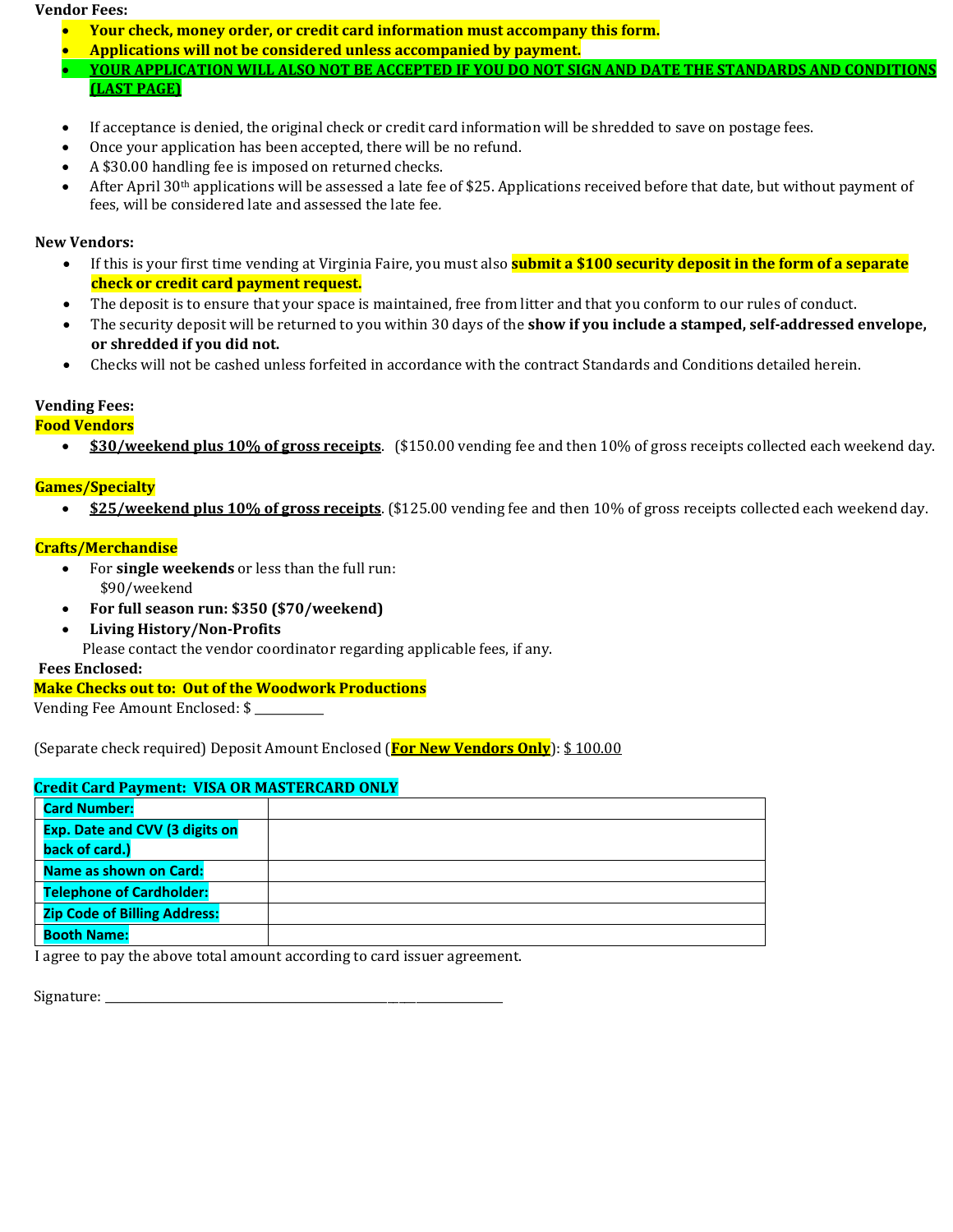#### **Vendor Fees:**

- **Your check, money order, or credit card information must accompany this form.**
- **Applications will not be considered unless accompanied by payment.**
- **YOUR APPLICATION WILL ALSO NOT BE ACCEPTED IF YOU DO NOT SIGN AND DATE THE STANDARDS AND CONDITIONS (LAST PAGE)**
- If acceptance is denied, the original check or credit card information will be shredded to save on postage fees.
- Once your application has been accepted, there will be no refund.
- A \$30.00 handling fee is imposed on returned checks.<br>• After Anril 30<sup>th</sup> annications will be assessed a late fee
- After April  $30<sup>th</sup>$  applications will be assessed a late fee of \$25. Applications received before that date, but without payment of fees, will be considered late and assessed the late fee*.*

## **New Vendors:**

- If this is your first time vending at Virginia Faire, you must also **submit a \$100 security deposit in the form of a separate check or credit card payment request.**
- The deposit is to ensure that your space is maintained, free from litter and that you conform to our rules of conduct.
- The security deposit will be returned to you within 30 days of the **show if you include a stamped, self-addressed envelope, or shredded if you did not.**
- Checks will not be cashed unless forfeited in accordance with the contract Standards and Conditions detailed herein.

## **Vending Fees:**

#### **Food Vendors**

• **\$30/weekend plus 10% of gross receipts**. (\$150.00 vending fee and then 10% of gross receipts collected each weekend day.

### **Games/Specialty**

• **\$25/weekend plus 10% of gross receipts**. (\$125.00 vending fee and then 10% of gross receipts collected each weekend day.

## **Crafts/Merchandise**

- For **single weekends** or less than the full run: \$90/weekend
- **For full season run: \$350 (\$70/weekend)**
- **Living History/Non-Profits**

Please contact the vendor coordinator regarding applicable fees, if any.

#### **Fees Enclosed:**

## **Make Checks out to: Out of the Woodwork Productions**

Vending Fee Amount Enclosed: \$

(Separate check required) Deposit Amount Enclosed (**For New Vendors Only**): \$ 100.00

| <b>Credit Card Payment: VISA OR MASTERCARD ONLY</b> |               |
|-----------------------------------------------------|---------------|
| <b>Card Number:</b>                                 |               |
| <b>Exp. Date and CVV (3 digits on</b>               |               |
| back of card.)                                      |               |
| <b>Name as shown on Card:</b>                       |               |
| <b>Telephone of Cardholder:</b>                     |               |
| <b>Zip Code of Billing Address:</b>                 |               |
| <b>Booth Name:</b>                                  |               |
|                                                     | $\sim$ $\sim$ |

I agree to pay the above total amount according to card issuer agreement.

| Signature: |  |
|------------|--|
|            |  |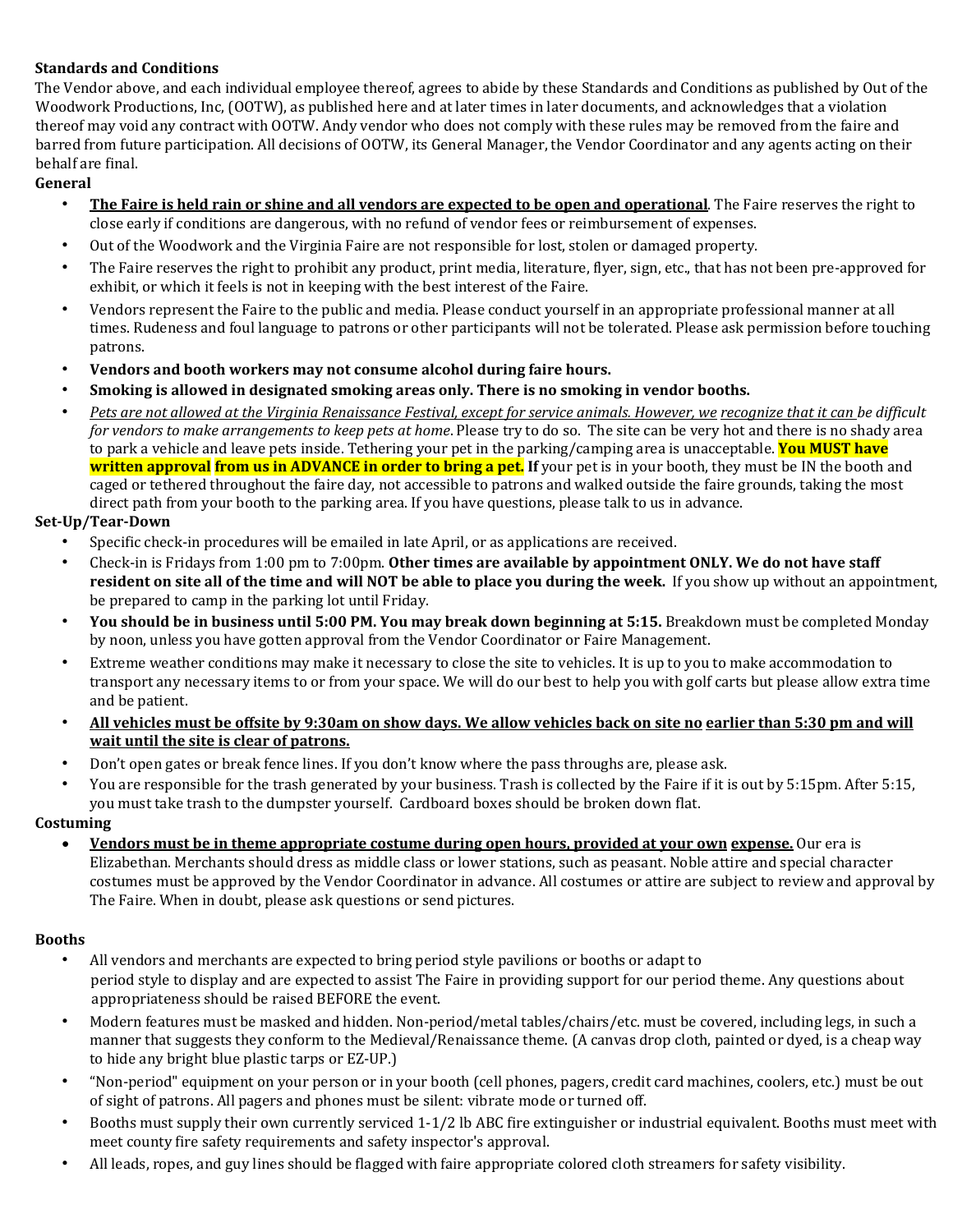## **Standards and Conditions**

The Vendor above, and each individual employee thereof, agrees to abide by these Standards and Conditions as published by Out of the Woodwork Productions, Inc, (OOTW), as published here and at later times in later documents, and acknowledges that a violation thereof may void any contract with OOTW. Andy vendor who does not comply with these rules may be removed from the faire and barred from future participation. All decisions of OOTW, its General Manager, the Vendor Coordinator and any agents acting on their behalf are final.

## **General**

- **The Faire is held rain or shine and all vendors are expected to be open and operational**. The Faire reserves the right to close early if conditions are dangerous, with no refund of vendor fees or reimbursement of expenses.
- Out of the Woodwork and the Virginia Faire are not responsible for lost, stolen or damaged property.
- The Faire reserves the right to prohibit any product, print media, literature, flyer, sign, etc., that has not been pre-approved for exhibit, or which it feels is not in keeping with the best interest of the Faire.
- Vendors represent the Faire to the public and media. Please conduct yourself in an appropriate professional manner at all times. Rudeness and foul language to patrons or other participants will not be tolerated. Please ask permission before touching patrons.
- **Vendors and booth workers may not consume alcohol during faire hours.**
- **Smoking is allowed in designated smoking areas only. There is no smoking in vendor booths.**
- *Pets are not allowed at the Virginia Renaissance Festival, except for service animals. However, we recognize that it can be difficult for vendors to make arrangements to keep pets at home*. Please try to do so. The site can be very hot and there is no shady area to park a vehicle and leave pets inside. Tethering your pet in the parking/camping area is unacceptable. **You MUST have written approval from us in ADVANCE in order to bring a pet. If** your pet is in your booth, they must be IN the booth and caged or tethered throughout the faire day, not accessible to patrons and walked outside the faire grounds, taking the most direct path from your booth to the parking area. If you have questions, please talk to us in advance.

## **Set-Up/Tear-Down**

- Specific check-in procedures will be emailed in late April, or as applications are received.
- Check-in is Fridays from 1:00 pm to 7:00pm. **Other times are available by appointment ONLY. We do not have staff resident on site all of the time and will NOT be able to place you during the week.** If you show up without an appointment, be prepared to camp in the parking lot until Friday.
- **You should be in business until 5:00 PM. You may break down beginning at 5:15.** Breakdown must be completed Monday by noon, unless you have gotten approval from the Vendor Coordinator or Faire Management.
- Extreme weather conditions may make it necessary to close the site to vehicles. It is up to you to make accommodation to transport any necessary items to or from your space. We will do our best to help you with golf carts but please allow extra time and be patient.
- **All vehicles must be offsite by 9:30am on show days. We allow vehicles back on site no earlier than 5:30 pm and will wait until the site is clear of patrons.**
- Don't open gates or break fence lines. If you don't know where the pass throughs are, please ask.
- You are responsible for the trash generated by your business. Trash is collected by the Faire if it is out by 5:15pm. After 5:15, you must take trash to the dumpster yourself. Cardboard boxes should be broken down flat.

### **Costuming**

• **Vendors must be in theme appropriate costume during open hours, provided at your own expense.** Our era is Elizabethan. Merchants should dress as middle class or lower stations, such as peasant. Noble attire and special character costumes must be approved by the Vendor Coordinator in advance. All costumes or attire are subject to review and approval by The Faire. When in doubt, please ask questions or send pictures.

### **Booths**

- All vendors and merchants are expected to bring period style pavilions or booths or adapt to period style to display and are expected to assist The Faire in providing support for our period theme. Any questions about appropriateness should be raised BEFORE the event.
- Modern features must be masked and hidden. Non-period/metal tables/chairs/etc. must be covered, including legs, in such a manner that suggests they conform to the Medieval/Renaissance theme. (A canvas drop cloth, painted or dyed, is a cheap way to hide any bright blue plastic tarps or EZ-UP.)
- "Non-period" equipment on your person or in your booth (cell phones, pagers, credit card machines, coolers, etc.) must be out of sight of patrons. All pagers and phones must be silent: vibrate mode or turned off.
- Booths must supply their own currently serviced 1-1/2 lb ABC fire extinguisher or industrial equivalent. Booths must meet with meet county fire safety requirements and safety inspector's approval.
- All leads, ropes, and guy lines should be flagged with faire appropriate colored cloth streamers for safety visibility.